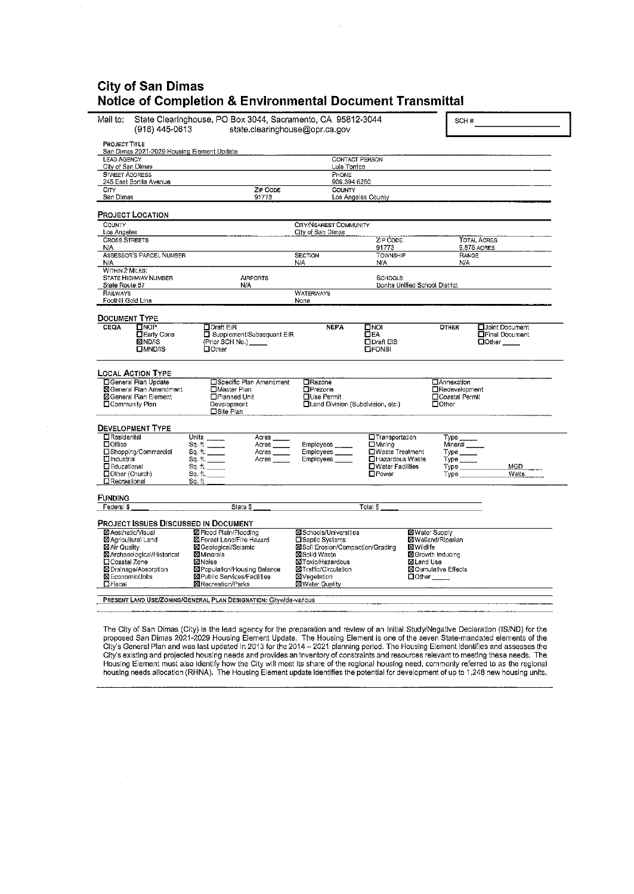## **City of San Dimas Notice of Completion** & **Environmental Document Transmittal**

| Mail to:<br>(916) 445-0613                                       | State Clearinghouse, PO Box 3044, Sacramento, CA 95812-3044<br>SCH#<br>state.clearinghouse@opr.ca.gov |                                                    |                                         |                                                    |                                                              |
|------------------------------------------------------------------|-------------------------------------------------------------------------------------------------------|----------------------------------------------------|-----------------------------------------|----------------------------------------------------|--------------------------------------------------------------|
| <b>PROJECT TITLE</b>                                             |                                                                                                       |                                                    |                                         |                                                    |                                                              |
| San Dimas 2021-2029 Housing Element Update<br><b>LEAD AGENCY</b> |                                                                                                       | <b>CONTACT PERSON</b>                              |                                         |                                                    |                                                              |
| City of San Dimas                                                |                                                                                                       | Luis Torrico                                       |                                         |                                                    |                                                              |
| <b>STREET ADDRESS</b>                                            |                                                                                                       | PHONE                                              |                                         |                                                    |                                                              |
| 245 East Bonita Avenue<br>CITY                                   | <b>ZIP CODE</b>                                                                                       | 909.394.6250<br>COUNTY                             |                                         |                                                    |                                                              |
| San Dimas                                                        | 91773                                                                                                 |                                                    | Los Angeles County                      |                                                    |                                                              |
| <b>PROJECT LOCATION</b>                                          |                                                                                                       |                                                    |                                         |                                                    |                                                              |
| COUNTY                                                           |                                                                                                       | CITY/NEAREST COMMUNITY                             |                                         |                                                    |                                                              |
| Los Angeles<br><b>CROSS STREETS</b>                              |                                                                                                       | City of San Dimas                                  | ZIP CODE                                |                                                    | <b>TOTAL ACRES</b>                                           |
| N/A                                                              |                                                                                                       |                                                    | 91773                                   |                                                    | 9.875 ACRES                                                  |
| ASSESSOR'S PARCEL NUMBER<br>N/A                                  |                                                                                                       | SECTION<br>N/A                                     | <b>TOWNSHIP</b><br>N/A                  | RANGE<br>N/A                                       |                                                              |
| WITHIN 2 MILES:<br>STATE HIGHWAY NUMBER                          | <b>AIRPORTS</b>                                                                                       |                                                    | <b>SCHOOLS</b>                          |                                                    |                                                              |
| State Route 57                                                   | N/A                                                                                                   |                                                    | Bonita Unified School District          |                                                    |                                                              |
| <b>RAILWAYS</b><br>Foothill Gold Line                            |                                                                                                       | <b>WATERWAYS</b><br>None                           |                                         |                                                    |                                                              |
|                                                                  |                                                                                                       |                                                    |                                         |                                                    |                                                              |
| <b>DOCUMENT TYPE</b>                                             |                                                                                                       |                                                    |                                         |                                                    |                                                              |
| $\Box$ NOP<br>CEOA<br><b>Early Cons</b><br><b>MINDAS</b>         | $\Box$ Draft EIR<br>□ Supplement/Subsequent EIR<br>(Prior SCH No.) _____                              | <b>NEPA</b>                                        | Пиог<br><b>DEA</b><br><b>DDraft EIS</b> | <b>OTHER</b>                                       | <b>H</b> Joint Document<br>Final Document<br>$\square$ Other |
| <b>OMND/IS</b>                                                   | $\Box$ Other                                                                                          |                                                    | <b>LIFONSI</b>                          |                                                    |                                                              |
|                                                                  |                                                                                                       |                                                    |                                         |                                                    |                                                              |
| <b>LOCAL ACTION TYPE</b><br>□General Pian Update                 | □Specific Plan Amendment                                                                              | □Rezone                                            |                                         | <b>C</b> Annexation                                |                                                              |
| <b>X</b> I General Plan Amendment                                | □Master Plan                                                                                          | <b>OPrezone</b>                                    |                                         | <b>TRedevelopment</b>                              |                                                              |
| SGeneral Plan Element<br>□ Community Plan                        | □Planned Unit<br>Development                                                                          | □Use Permit<br>□Land Division (Subdivision, etc.)  |                                         | □ Coastal Permit<br>$\Box$ Other                   |                                                              |
|                                                                  | □Site Plan                                                                                            |                                                    |                                         |                                                    |                                                              |
| <b>DEVELOPMENT TYPE</b>                                          |                                                                                                       |                                                    |                                         |                                                    |                                                              |
| <b>Exesidential</b><br>⊡Office                                   | Units $\_\_$<br>Acres                                                                                 |                                                    | □Transportation                         | Туре _                                             |                                                              |
| □Shopping/Commercial                                             | $a, fi$ $\underbrace{\qquad \qquad }$<br>Acres _____<br>Acres _____                                   | Employees<br>Employees ____                        | $\square$ Mining<br>□Waste Treatment    | Mineral<br>$Type \_\_$                             |                                                              |
| □Industrial                                                      | Sq. ft.<br>Acres                                                                                      | Employees                                          | □Hazardous Waste                        | $Type$ <sub><math>-</math></sub>                   |                                                              |
| □ Educational<br>Other (Church)                                  | Sq. fl.<br>Sq. ft.                                                                                    |                                                    | □Water Facilities<br><b>D</b> Power     | $Type \_$<br>Type                                  | MGD<br>Watts                                                 |
| □Recreational                                                    | Sa. ft                                                                                                |                                                    |                                         |                                                    |                                                              |
| FUNDING                                                          |                                                                                                       |                                                    |                                         |                                                    |                                                              |
| Federal \$                                                       | State \$                                                                                              |                                                    | Total \$                                |                                                    |                                                              |
| <b>PROJECT ISSUES DISCUSSED IN DOCUMENT</b>                      |                                                                                                       |                                                    |                                         |                                                    |                                                              |
| <b>X</b> Aesthetic/Visual<br>⊠ Agricultural Land                 | <b>X</b> Flood Plain/Flooding<br><b>X</b> Forest Land/Fire Hazard                                     | <b>X</b> Schools/Universities<br>□Septic Systems   |                                         | <b>X</b> Water Supply<br><b>X</b> Welland/Riparlan |                                                              |
| ⊠Air Quality                                                     | <b>XI</b> Geological/Seismic                                                                          | X Soil Erosion/Compaction/Grading                  | <b>X</b> Wildlife                       |                                                    |                                                              |
| <b>X</b> Archaeological/Historical                               | <b>Minerals</b>                                                                                       | <b>冈Solid Waste</b>                                |                                         | <b>⊠</b> Growth Inducing                           |                                                              |
| □Coastal Zone<br>⊠ Drainage/Absorption                           | ⊠Noise<br>⊠ Population/Housing Balance                                                                | <b>X</b> IToxic/Hazardous<br>XITraffic/Circulation | ⊠Land Use                               | <b>X Cumulative Effects</b>                        |                                                              |
| <b>X</b> Economic/Jobs                                           | <b>X</b> Public Services/Facilities                                                                   | <b>X</b> Vegetation                                |                                         | $\Box$ Other ______                                |                                                              |
| $\Box$ Fiscal                                                    | <b>X</b> Recreation/Parks                                                                             | ⊠ Water Quality                                    |                                         |                                                    |                                                              |
|                                                                  | PRESENT LAND USE/ZONING/GENERAL PLAN DESIGNATION: Citywide-various                                    |                                                    |                                         |                                                    |                                                              |

The City of San Dimas (City) is the lead agency for the preparation and review of an Initial Study/Negative Declaration (IS/ND) for the<br>proposed San Dimas 2021-2029 Housing Element Update. The Housing Element is one of the Housing Element must also identify how the City will meet its share of the regional housing need, commonly referred to as the regional<br>housing needs allocation (RHNA). The Housing Element update identifies the potential fo

 $\hat{\boldsymbol{\gamma}}$